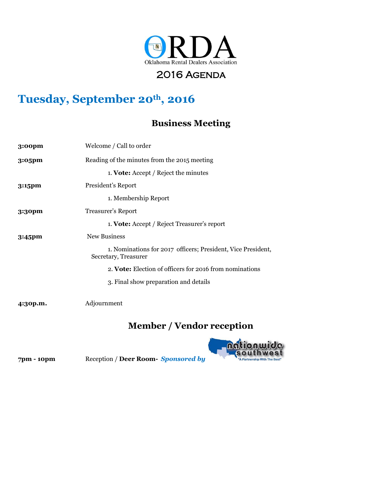

### 2016 AGENDA

# **Tuesday, September 20th, 2016**

#### **Business Meeting**

| 3:00 <sub>pm</sub> | Welcome / Call to order                                                              |
|--------------------|--------------------------------------------------------------------------------------|
| $3:05$ pm          | Reading of the minutes from the 2015 meeting                                         |
|                    | 1. Vote: Accept / Reject the minutes                                                 |
| $3:15$ pm          | President's Report                                                                   |
|                    | 1. Membership Report                                                                 |
| $3:3$ opm          | <b>Treasurer's Report</b>                                                            |
|                    | 1. Vote: Accept / Reject Treasurer's report                                          |
| $3:45$ pm          | New Business                                                                         |
|                    | 1. Nominations for 2017 officers; President, Vice President,<br>Secretary, Treasurer |
|                    | 2. Vote: Election of officers for 2016 from nominations                              |
|                    | 3. Final show preparation and details                                                |
| 4:30p.m.           | Adjournment                                                                          |

## **Member / Vendor reception**



**7pm - 10pm** Reception / **Deer Room-** *Sponsored by*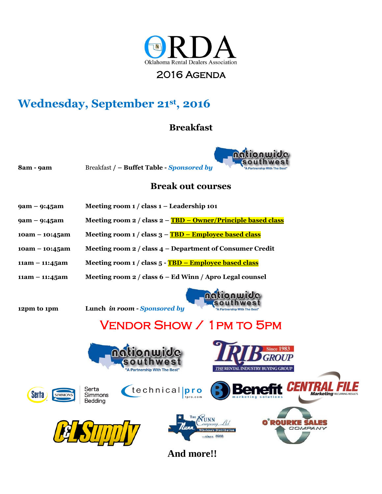

#### 2016 Agenda

## **Wednesday, September 21st, 2016**

#### **Breakfast**



**8am - 9am** Breakfast **/ – Buffet Table -** *Sponsored by* 

#### **Break out courses**

- **9am – 9:45am Meeting room 1 / class 1 – Leadership 101**
- **9am – 9:45am Meeting room 2 / class 2 – TBD – Owner/Principle based class**
- **10am – 10:45am Meeting room 1 / class 3 – TBD – Employee based class**
- **10am – 10:45am Meeting room 2 / class 4 – Department of Consumer Credit**
- **11am – 11:45am Meeting room 1 / class 5 - TBD – Employee based class**
- **11am – 11:45am Meeting room 2 / class 6 – Ed Winn / Apro Legal counsel**



**12pm to 1pm Lunch** *in room - Sponsored by* 





technicalpro





Bedding





**And more!!**